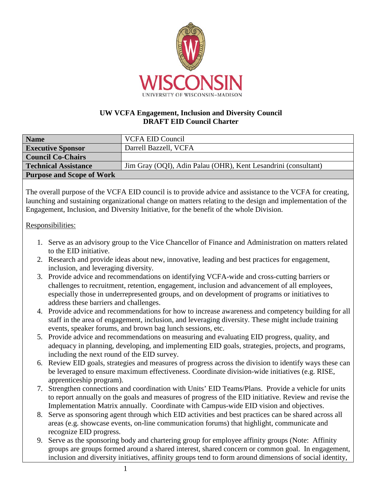

## **UW VCFA Engagement, Inclusion and Diversity Council DRAFT EID Council Charter**

| <b>Name</b>                      | <b>VCFA EID Council</b>                                        |
|----------------------------------|----------------------------------------------------------------|
| <b>Executive Sponsor</b>         | Darrell Bazzell, VCFA                                          |
| <b>Council Co-Chairs</b>         |                                                                |
| <b>Technical Assistance</b>      | Jim Gray (OQI), Adin Palau (OHR), Kent Lesandrini (consultant) |
| <b>Purpose and Scope of Work</b> |                                                                |

The overall purpose of the VCFA EID council is to provide advice and assistance to the VCFA for creating, launching and sustaining organizational change on matters relating to the design and implementation of the Engagement, Inclusion, and Diversity Initiative, for the benefit of the whole Division.

## Responsibilities:

- 1. Serve as an advisory group to the Vice Chancellor of Finance and Administration on matters related to the EID initiative.
- 2. Research and provide ideas about new, innovative, leading and best practices for engagement, inclusion, and leveraging diversity.
- 3. Provide advice and recommendations on identifying VCFA-wide and cross-cutting barriers or challenges to recruitment, retention, engagement, inclusion and advancement of all employees, especially those in underrepresented groups, and on development of programs or initiatives to address these barriers and challenges.
- 4. Provide advice and recommendations for how to increase awareness and competency building for all staff in the area of engagement, inclusion, and leveraging diversity. These might include training events, speaker forums, and brown bag lunch sessions, etc.
- 5. Provide advice and recommendations on measuring and evaluating EID progress, quality, and adequacy in planning, developing, and implementing EID goals, strategies, projects, and programs, including the next round of the EID survey.
- 6. Review EID goals, strategies and measures of progress across the division to identify ways these can be leveraged to ensure maximum effectiveness. Coordinate division-wide initiatives (e.g. RISE, apprenticeship program).
- 7. Strengthen connections and coordination with Units' EID Teams/Plans. Provide a vehicle for units to report annually on the goals and measures of progress of the EID initiative. Review and revise the Implementation Matrix annually. Coordinate with Campus-wide EID vision and objectives.
- 8. Serve as sponsoring agent through which EID activities and best practices can be shared across all areas (e.g. showcase events, on-line communication forums) that highlight, communicate and recognize EID progress.
- 9. Serve as the sponsoring body and chartering group for employee affinity groups (Note: Affinity groups are groups formed around a shared interest, shared concern or common goal. In engagement, inclusion and diversity initiatives, affinity groups tend to form around dimensions of social identity,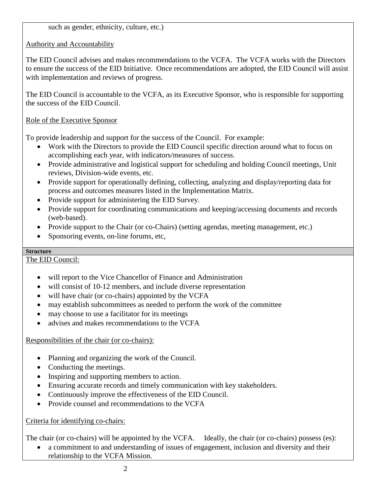such as gender, ethnicity, culture, etc.)

Authority and Accountability

The EID Council advises and makes recommendations to the VCFA. The VCFA works with the Directors to ensure the success of the EID Initiative. Once recommendations are adopted, the EID Council will assist with implementation and reviews of progress.

The EID Council is accountable to the VCFA, as its Executive Sponsor, who is responsible for supporting the success of the EID Council.

Role of the Executive Sponsor

To provide leadership and support for the success of the Council. For example:

- Work with the Directors to provide the EID Council specific direction around what to focus on accomplishing each year, with indicators/measures of success.
- Provide administrative and logistical support for scheduling and holding Council meetings, Unit reviews, Division-wide events, etc.
- Provide support for operationally defining, collecting, analyzing and display/reporting data for process and outcomes measures listed in the Implementation Matrix.
- Provide support for administering the EID Survey.
- Provide support for coordinating communications and keeping/accessing documents and records (web-based).
- Provide support to the Chair (or co-Chairs) (setting agendas, meeting management, etc.)
- Sponsoring events, on-line forums, etc,

## **Structure**

The EID Council:

- will report to the Vice Chancellor of Finance and Administration
- will consist of 10-12 members, and include diverse representation
- will have chair (or co-chairs) appointed by the VCFA
- may establish subcommittees as needed to perform the work of the committee
- may choose to use a facilitator for its meetings
- advises and makes recommendations to the VCFA

Responsibilities of the chair (or co-chairs):

- Planning and organizing the work of the Council.
- Conducting the meetings.
- Inspiring and supporting members to action.
- Ensuring accurate records and timely communication with key stakeholders.
- Continuously improve the effectiveness of the EID Council.
- Provide counsel and recommendations to the VCFA

Criteria for identifying co-chairs:

The chair (or co-chairs) will be appointed by the VCFA. Ideally, the chair (or co-chairs) possess (es):

• a commitment to and understanding of issues of engagement, inclusion and diversity and their relationship to the VCFA Mission.